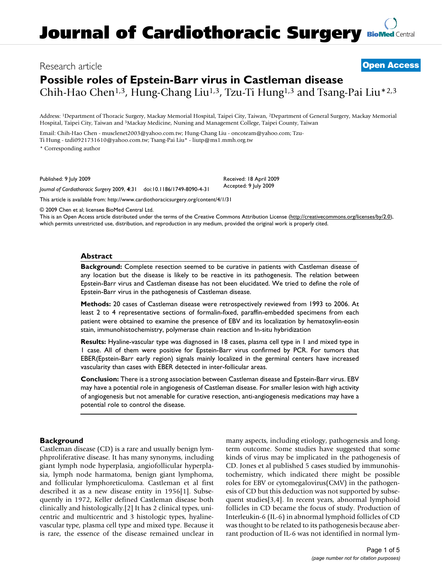# Research article **[Open Access](http://www.biomedcentral.com/info/about/charter/)**

# **Possible roles of Epstein-Barr virus in Castleman disease** Chih-Hao Chen<sup>1,3</sup>, Hung-Chang Liu<sup>1,3</sup>, Tzu-Ti Hung<sup>1,3</sup> and Tsang-Pai Liu<sup>\*2,3</sup>

Address: 1Department of Thoracic Surgery, Mackay Memorial Hospital, Taipei City, Taiwan, 2Department of General Surgery, Mackay Memorial Hospital, Taipei City, Taiwan and 3Mackay Medicine, Nursing and Management College, Taipei County, Taiwan

Email: Chih-Hao Chen - musclenet2003@yahoo.com.tw; Hung-Chang Liu - oncoteam@yahoo.com; Tzu-

Ti Hung - tzdi0921731610@yahoo.com.tw; Tsang-Pai Liu\* - liutp@ms1.mmh.org.tw

\* Corresponding author

Published: 9 July 2009

Received: 18 April 2009 Accepted: 9 July 2009

*Journal of Cardiothoracic Surgery* 2009, **4**:31 doi:10.1186/1749-8090-4-31

[This article is available from: http://www.cardiothoracicsurgery.org/content/4/1/31](http://www.cardiothoracicsurgery.org/content/4/1/31)

© 2009 Chen et al; licensee BioMed Central Ltd.

This is an Open Access article distributed under the terms of the Creative Commons Attribution License [\(http://creativecommons.org/licenses/by/2.0\)](http://creativecommons.org/licenses/by/2.0), which permits unrestricted use, distribution, and reproduction in any medium, provided the original work is properly cited.

#### **Abstract**

**Background:** Complete resection seemed to be curative in patients with Castleman disease of any location but the disease is likely to be reactive in its pathogenesis. The relation between Epstein-Barr virus and Castleman disease has not been elucidated. We tried to define the role of Epstein-Barr virus in the pathogenesis of Castleman disease.

**Methods:** 20 cases of Castleman disease were retrospectively reviewed from 1993 to 2006. At least 2 to 4 representative sections of formalin-fixed, paraffin-embedded specimens from each patient were obtained to examine the presence of EBV and its localization by hematoxylin-eosin stain, immunohistochemistry, polymerase chain reaction and In-situ hybridization

**Results:** Hyaline-vascular type was diagnosed in 18 cases, plasma cell type in 1 and mixed type in 1 case. All of them were positive for Epstein-Barr virus confirmed by PCR. For tumors that EBER(Epstein-Barr early region) signals mainly localized in the germinal centers have increased vascularity than cases with EBER detected in inter-follicular areas.

**Conclusion:** There is a strong association between Castleman disease and Epstein-Barr virus. EBV may have a potential role in angiogenesis of Castleman disease. For smaller lesion with high activity of angiogenesis but not amenable for curative resection, anti-angiogenesis medications may have a potential role to control the disease.

#### **Background**

Castleman disease (CD) is a rare and usually benign lymphproliferative disease. It has many synonyms, including giant lymph node hyperplasia, angiofollicular hyperplasia, lymph node harmatoma, benign giant lymphoma, and follicular lymphoreticuloma. Castleman et al first described it as a new disease entity in 1956[1]. Subsequently in 1972, Keller defined Castleman disease both clinically and histologically.[2] It has 2 clinical types, unicentric and multicentric and 3 histologic types, hyalinevascular type, plasma cell type and mixed type. Because it is rare, the essence of the disease remained unclear in many aspects, including etiology, pathogenesis and longterm outcome. Some studies have suggested that some kinds of virus may be implicated in the pathogenesis of CD. Jones et al published 5 cases studied by immunohistochemistry, which indicated there might be possible roles for EBV or cytomegalovirus(CMV) in the pathogenesis of CD but this deduction was not supported by subsequent studies[3,4]. In recent years, abnormal lymphoid follicles in CD became the focus of study. Production of Interleukin-6 (IL-6) in abnormal lymphoid follicles of CD was thought to be related to its pathogenesis because aberrant production of IL-6 was not identified in normal lym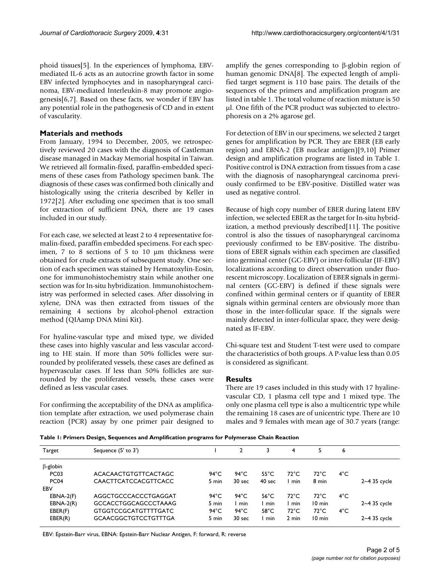phoid tissues[5]. In the experiences of lymphoma, EBVmediated IL-6 acts as an autocrine growth factor in some EBV infected lymphocytes and in nasopharyngeal carcinoma, EBV-mediated Interleukin-8 may promote angiogenesis[6,7]. Based on these facts, we wonder if EBV has any potential role in the pathogenesis of CD and in extent of vascularity.

# **Materials and methods**

From January, 1994 to December, 2005, we retrospectively reviewed 20 cases with the diagnosis of Castleman disease managed in Mackay Memorial hospital in Taiwan. We retrieved all formalin-fixed, paraffin-embedded specimens of these cases from Pathology specimen bank. The diagnosis of these cases was confirmed both clinically and histologically using the criteria described by Keller in 1972[2]. After excluding one specimen that is too small for extraction of sufficient DNA, there are 19 cases included in our study.

For each case, we selected at least 2 to 4 representative formalin-fixed, paraffin embedded specimens. For each specimen, 7 to 8 sections of 5 to 10 μm thickness were obtained for crude extracts of subsequent study. One section of each specimen was stained by Hematoxylin-Eosin, one for immunohistochemistry stain while another one section was for In-situ hybridization. Immunohistochemistry was performed in selected cases. After dissolving in xylene, DNA was then extracted from tissues of the remaining 4 sections by alcohol-phenol extraction method (QIAamp DNA Mini Kit).

For hyaline-vascular type and mixed type, we divided these cases into highly vascular and less vascular according to HE stain. If more than 50% follicles were surrounded by proliferated vessels, these cases are defined as hypervascular cases. If less than 50% follicles are surrounded by the proliferated vessels, these cases were defined as less vascular cases.

For confirming the acceptability of the DNA as amplification template after extraction, we used polymerase chain reaction (PCR) assay by one primer pair designed to

amplify the genes corresponding to β-globin region of human genomic DNA[8]. The expected length of amplified target segment is 110 base pairs. The details of the sequences of the primers and amplification program are listed in table 1. The total volume of reaction mixture is 50 μl. One fifth of the PCR product was subjected to electrophoresis on a 2% agarose gel.

For detection of EBV in our specimens, we selected 2 target genes for amplification by PCR. They are EBER (EB early region) and EBNA-2 (EB nuclear antigen)[9,10] Primer design and amplification programs are listed in Table 1. Positive control is DNA extraction from tissues from a case with the diagnosis of nasopharyngeal carcinoma previously confirmed to be EBV-positive. Distilled water was used as negative control.

Because of high copy number of EBER during latent EBV infection, we selected EBER as the target for In-situ hybridization, a method previously described[11]. The positive control is also the tissues of nasopharyngeal carcinoma previously confirmed to be EBV-positive. The distributions of EBER signals within each specimen are classified into germinal center (GC-EBV) or inter-follicular (IF-EBV) localizations according to direct observation under fluorescent microscopy. Localization of EBER signals in germinal centers (GC-EBV) is defined if these signals were confined within germinal centers or if quantity of EBER signals within germinal centers are obviously more than those in the inter-follicular space. If the signals were mainly detected in inter-follicular space, they were designated as IF-EBV.

Chi-square test and Student T-test were used to compare the characteristics of both groups. A P-value less than 0.05 is considered as significant.

# **Results**

There are 19 cases included in this study with 17 hyalinevascular CD, 1 plasma cell type and 1 mixed type. The only one plasma cell type is also a multicentric type while the remaining 18 cases are of unicentric type. There are 10 males and 9 females with mean age of 30.7 years (range:

**Table 1: Primers Design, Sequences and Amplification programs for Polymerase Chain Reaction**

| Target           | Sequence (5' to 3')         |                |                   |                | 4              |                  | 6             |                  |
|------------------|-----------------------------|----------------|-------------------|----------------|----------------|------------------|---------------|------------------|
|                  |                             |                |                   |                |                |                  |               |                  |
| $\beta$ -globin  |                             |                |                   |                |                |                  |               |                  |
| PC <sub>03</sub> | <b>ACACAACTGTGTTCACTAGC</b> | $94^{\circ}$ C | 94 $^{\circ}$ C   | $55^{\circ}$ C | $72^{\circ}$ C | $72^{\circ}$ C.  | $4^{\circ}$ C |                  |
| <b>PC04</b>      | <b>CAACTTCATCCACGTTCACC</b> | 5 min          | 30 <sub>sec</sub> | 40 sec         | min            | 8 min            |               | $2 - 4$ 35 cycle |
| EBV              |                             |                |                   |                |                |                  |               |                  |
| $EBNA-2(F)$      | AGGCTGCCCACCCTGAGGAT        | $94^{\circ}$ C | $94^{\circ}$ C    | $56^{\circ}$ C | $72^{\circ}$ C | $72^{\circ}$ C   | $4^{\circ}$ C |                  |
| $EBNA-2(R)$      | <b>GCCACCTGGCAGCCCTAAAG</b> | 5 min          | min               | min            | I min          | 10 min           |               | $2 - 4$ 35 cycle |
| EBER(F)          | <b>GTGGTCCGCATGTTTTGATC</b> | $94^{\circ}$ C | $94^{\circ}$ C    | $58^{\circ}$ C | $72^{\circ}$ C | $72^{\circ}$ C   | $4^\circ C$   |                  |
| EBER(R)          | <b>GCAACGGCTGTCCTGTTTGA</b> | 5 min          | 30 sec            | min            | 2 min          | $10 \text{ min}$ |               | $2 - 4$ 35 cycle |

EBV: Epstein-Barr virus, EBNA: Epstein-Barr Nuclear Antigen, F: forward, R: reverse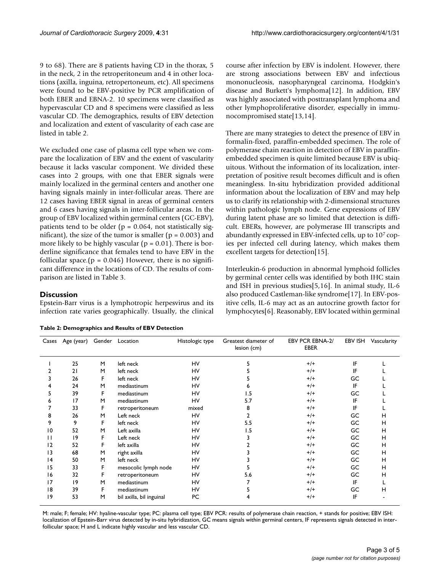9 to 68). There are 8 patients having CD in the thorax, 5 in the neck, 2 in the retroperitoneum and 4 in other locations (axilla, inguina, retropertoneum, etc). All specimens were found to be EBV-positive by PCR amplification of both EBER and EBNA-2. 10 specimens were classified as hypervascular CD and 8 specimens were classified as less vascular CD. The demographics, results of EBV detection and localization and extent of vascularity of each case are listed in table 2.

We excluded one case of plasma cell type when we compare the localization of EBV and the extent of vascularity because it lacks vascular component. We divided these cases into 2 groups, with one that EBER signals were mainly localized in the germinal centers and another one having signals mainly in inter-follicular areas. There are 12 cases having EBER signal in areas of germinal centers and 6 cases having signals in inter-follicular areas. In the group of EBV localized within germinal centers (GC-EBV), patients tend to be older ( $p = 0.064$ , not statistically significant), the size of the tumor is smaller ( $p = 0.003$ ) and more likely to be highly vascular ( $p = 0.01$ ). There is borderline significance that females tend to have EBV in the follicular space.( $p = 0.046$ ) However, there is no significant difference in the locations of CD. The results of comparison are listed in Table 3.

#### **Discussion**

Epstein-Barr virus is a lymphotropic herpesvirus and its infection rate varies geographically. Usually, the clinical

| Table 2: Demographics and Results of EBV Detection |  |  |
|----------------------------------------------------|--|--|
|----------------------------------------------------|--|--|

course after infection by EBV is indolent. However, there are strong associations between EBV and infectious mononucleosis, nasopharyngeal carcinoma, Hodgkin's disease and Burkett's lymphoma[12]. In addition, EBV was highly associated with posttransplant lymphoma and other lymphoproliferative disorder, especially in immunocompromised state[13,14].

There are many strategies to detect the presence of EBV in formalin-fixed, paraffin-embedded specimen. The role of polymerase chain reaction in detection of EBV in paraffinembedded specimen is quite limited because EBV is ubiquitous. Without the information of its localization, interpretation of positive result becomes difficult and is often meaningless. In-situ hybridization provided additional information about the localization of EBV and may help us to clarify its relationship with 2-dimensional structures within pathologic lymph node. Gene expressions of EBV during latent phase are so limited that detection is difficult. EBERs, however, are polymerase III transcripts and abundantly expressed in EBV-infected cells, up to 107 copies per infected cell during latency, which makes them excellent targets for detection[15].

Interleukin-6 production in abnormal lymphoid follicles by germinal center cells was identified by both IHC stain and ISH in previous studies[5,16]. In animal study, IL-6 also produced Castleman-like syndrome[17]. In EBV-positive cells, IL-6 may act as an autocrine growth factor for lymphocytes[6]. Reasonably, EBV located within germinal

| Cases           | Age (year) |    | Gender Location          | Histologic type | Greatest diameter of<br>lesion (cm) | EBV PCR EBNA-2/<br><b>EBER</b> | EBV ISH | Vascularity |
|-----------------|------------|----|--------------------------|-----------------|-------------------------------------|--------------------------------|---------|-------------|
|                 | 25         | M  | left neck                | HV              |                                     | $+/+$                          | IF      |             |
|                 | 21         | M  | left neck                | <b>HV</b>       |                                     | $+/+$                          | IF      |             |
|                 | 26         | F  | left neck                | HV              |                                     | $+/+$                          | GC      |             |
|                 | 24         | M  | mediastinum              | HV              |                                     | $+/+$                          | IF      |             |
|                 | 39         | F  | mediastinum              | HV              | l.5                                 | $+/+$                          | GC      |             |
| ь               | 17         | M  | mediastinum              | HV              | 5.7                                 | $+/+$                          | IF      |             |
|                 | 33         | F. | retroperitoneum          | mixed           | 8                                   | $+/+$                          | IF      |             |
| 8               | 26         | M  | Left neck                | <b>HV</b>       |                                     | $+/+$                          | GC      | н           |
| 9               | 9          | F  | left neck                | HV              | 5.5                                 | $+/+$                          | GC      | H           |
| $\overline{10}$ | 52         | M  | Left axilla              | HV              | ۱.5                                 | $+/+$                          | GC      | H           |
| п               | 19         | F. | Left neck                | HV              |                                     | $+/+$                          | GC      | H           |
| 12              | 52         | F  | left axilla              | HV              |                                     | $+/+$                          | GC      | H           |
| 13              | 68         | M  | right axilla             | HV              |                                     | $+/-$                          | GC      | н           |
| 4               | 50         | M  | left neck                | HV              |                                     | $+/+$                          | GC      | H           |
| 15              | 33         | F  | mesocolic lymph node     | HV              |                                     | $+/-$                          | GC.     | H           |
| 16              | 32         | F. | retroperitoneum          | HV              | 5.6                                 | $+/+$                          | GC      | н           |
| 17              | 9          | M  | mediastinum              | HV              |                                     | $+/+$                          | IF      |             |
| 18              | 39         | F  | mediastinum              | HV              |                                     | $+/+$                          | GC      | н           |
| 19              | 53         | M  | bil axilla, bil inguinal | PC              | 4                                   | $+/+$                          | IF      |             |

M: male; F; female; HV: hyaline-vascular type; PC: plasma cell type; EBV PCR: results of polymerase chain reaction, + stands for positive; EBV ISH: localization of Epstein-Barr virus detected by in-situ hybridization, GC means signals within germinal centers, IF represents signals detected in interfollicular space; H and L indicate highly vascular and less vascular CD.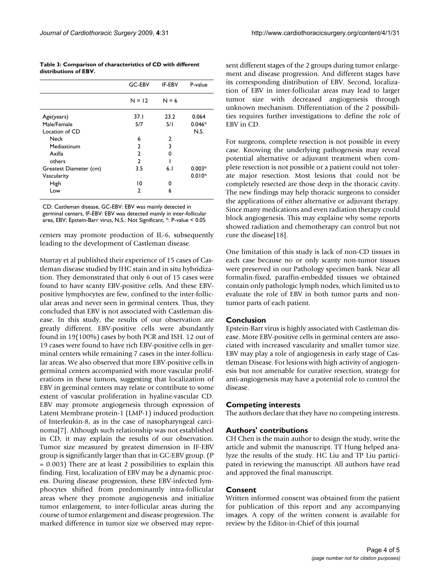|                        | GC-EBV        | IF-EBV  | P-value  |
|------------------------|---------------|---------|----------|
|                        | $N = 12$      | $N = 6$ |          |
| Age(years)             | 37.I          | 23.2    | 0.064    |
| Male/Female            | 5/7           | 5/1     | $0.046*$ |
| Location of CD         |               |         | N.S.     |
| Neck                   | 6             | 2       |          |
| Mediastinum            | $\mathcal{P}$ | 3       |          |
| Axilla                 | 2             | 0       |          |
| others                 | $\mathfrak z$ |         |          |
| Greatest Diameter (cm) | 3.5           | 6.1     | $0.003*$ |
| Vascularity            |               |         | $0.010*$ |
| High                   | 10            | O       |          |
| Low                    | $\mathcal{P}$ | 6       |          |

**Table 3: Comparison of characteristics of CD with different distributions of EBV.**

CD: Castleman disease, GC-EBV: EBV was mainly detected in germinal centers, IF-EBV: EBV was detected mainly in inter-follicular area, EBV: Epstein-Barr virus, N.S.: Not Significant, \*: P-value < 0.05

centers may promote production of IL-6, subsequently leading to the development of Castleman disease.

Murray et al published their experience of 15 cases of Castleman disease studied by IHC stain and in situ hybridization. They demonstrated that only 6 out of 15 cases were found to have scanty EBV-positive cells. And these EBVpositive lymphocytes are few, confined to the inter-follicular areas and never seen in germinal centers. Thus, they concluded that EBV is not associated with Castleman disease. In this study, the results of our observation are greatly different. EBV-positive cells were abundantly found in 19(100%) cases by both PCR and ISH. 12 out of 19 cases were found to have rich EBV-positive cells in germinal centers while remaining 7 cases in the inter-follicular areas. We also observed that more EBV-positive cells in germinal centers accompanied with more vascular proliferations in these tumors, suggesting that localization of EBV in germinal centers may relate or contribute to some extent of vascular proliferation in hyaline-vascular CD. EBV may promote angiogenesis through expression of Latent Membrane protein-1 (LMP-1) induced production of Interleukin-8, as in the case of nasopharyngeal carcinoma[7]. Although such relationship was not established in CD, it may explain the results of our observation. Tumor size measured by greatest dimension in IF-EBV group is significantly larger than that in GC-EBV group. (P = 0.003) There are at least 2 possibilities to explain this finding. First, localization of EBV may be a dynamic process. During disease progression, these EBV-infected lymphocytes shifted from predominantly intra-follicular areas where they promote angiogenesis and initialize tumor enlargement, to inter-follicular areas during the course of tumor enlargement and disease progression. The marked difference in tumor size we observed may represent different stages of the 2 groups during tumor enlargement and disease progression. And different stages have its corresponding distribution of EBV. Second, localization of EBV in inter-follicular areas may lead to larger tumor size with decreased angiogenesis through unknown mechanism. Differentiation of the 2 possibilities requires further investigations to define the role of EBV in CD.

For surgeons, complete resection is not possible in every case. Knowing the underlying pathogenesis may reveal potential alternative or adjuvant treatment when complete resection is not possible or a patient could not tolerate major resection. Most lesions that could not be completely resected are those deep in the thoracic cavity. The new findings may help thoracic surgeons to consider the applications of either alternative or adjuvant therapy. Since many medications and even radiation therapy could block angiogenesis. This may explaine why some reports showed radiation and chemotherapy can control but not cure the disease[18].

One limitation of this study is lack of non-CD tissues in each case because no or only scanty non-tumor tissues were preserved in our Pathology specimen bank. Near all formalin-fixed, paraffin-embedded tissues we obtained contain only pathologic lymph nodes, which limited us to evaluate the role of EBV in both tumor parts and nontumor parts of each patient.

#### **Conclusion**

Epstein-Barr virus is highly associated with Castleman disease. More EBV-positive cells in germinal centers are associated with increased vascularity and smaller tumor size. EBV may play a role of angiogenesis in early stage of Castleman Disease. For lesions with high activity of angiogenesis but not amenable for curative resection, strategy for anti-angiogenesis may have a potential role to control the disease.

#### **Competing interests**

The authors declare that they have no competing interests.

# **Authors' contributions**

CH Chen is the main author to design the study, write the article and submit the manuscript. TT Hung helped analyze the results of the study. HC Liu and TP Liu participated in reviewing the manuscript. All authors have read and approved the final manuscript.

#### **Consent**

Written informed consent was obtained from the patient for publication of this report and any accompanying images. A copy of the written consent is available for review by the Editor-in-Chief of this journal